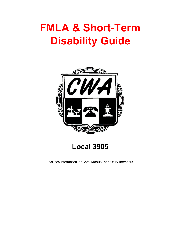# **FMLA & Short-Term Disability Guide**



**Local 3905**

Includes information for Core, Mobility, and Utility members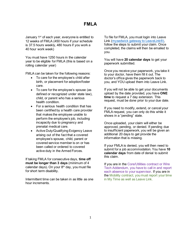# **FMLA**

January 1<sup>st</sup> of each year, everyone is entitled to 12 weeks of FMLA (450 hours if your schedule is 37.5 hours weekly, 480 hours if you work a 40 hour work week)

You must have 1250 hours in the calendar year to be eligible for FMLA (this is based on a rolling calendar year)

FMLA can be taken for the following reasons:

- To care for the employee's child after birth, or placement for adoption/foster care.
- To care for the employee's spouse (as defined or recognized under state law), child, or parent who has a serious health condition.
- For a serious health condition that has been certified by a health care provider that makes the employee unable to perform the employee's job, including incapacity due to pregnancy and prenatal medical care.
- Active Duty/Qualifying Exigency Leave arising out of the fact that a covered employee's spouse, child, parent or covered service member is on or has been called or ordered to covered active duty in the Armed Forces.

If taking FMLA for consecutive days, **time off must be longer than 3 days** (minimum of 4 calendar days)**.** On your 8th day, you must file for short term disability.

Intermittent time can be taken in as little as one hour increments.

To file for FMLA, you must login into Leave Link [\(mysedwick gateway to LeaveLink®\)](https://www.e-access.att.com/usersvcs/cspsaml?service=sedgwickrr&servicetype=prod), follow the steps to submit your claim. Once completed, the claims will then be emailed to you.

You will have **20 calendar days** to get your paperwork submitted.

Once you receive your paperwork, you take it to your doctor, have them fill it out. The doctor's office gives the paperwork back to you, and YOU upload them into Leave Link.

If you will not be able to get your documents upload by the date provided, you have **ONE time** to request a 7 day extension. This request, must be done prior to your due date.

If you need to modify, extend, or cancel your FMLA request, you can only do this while it shows in a "pending" state.

Once uploaded, your claim will either be approved, pending, or denied. If pending due to insufficient paperwork, you will be given an additional 20 days to get provide the information that is missing.

If your FMLA is denied, you will then need to submit for a job accommodation. You have **10 calendar days** from date of denial to submit this claim.

If you are in the Core/Utilities contract or Wire Tech Addendum, you have to call in and report each absence to your supervisor. If you are in the Mobility contract, you must report your time in My Time as well as Leave Link.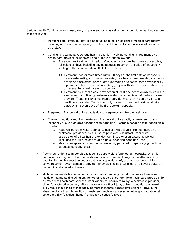Serious Health Condition – an illness, injury, impairment, or physical or mental condition that involves one of the following:

- Inpatient care: overnight stay in a hospital, hospice, or residential medical care facility including any period of incapacity or subsequent treatment in connection with inpatient care stay.
- Continuing treatment: A serious health condition involving continuing treatment by a health care provider includes any one or more of the following:
	- $\circ$  Absence plus treatment: A period of incapacity of more than three consecutive, full calendar days, including any subsequent treatment or period of incapacity relating to the same condition that also involves:
		- 1.) Treatment, two or more times within 30 days of the first date of incapacity unless extenuating circumstances exist, by a health care provider, a nurse or physician's assistant under direct supervision of a health care provider or by a provider of health care services (e.g.; physical therapist) under orders of, or on referral by a health care provider; or
		- 2.) Treatment by a health care provider on at least one occasion which results in a regimen of continuing treatments under the supervision of the health care provider. Treatment by a healthcare provider means in in-person visit to a healthcare provider. The first (or only) in-person treatment visit must take place within seven days of the first date of incapacity
- Pregnancy: Any period of incapacity due to pregnancy and for prenatal care.
- Chronic conditions requiring treatment: Any period of incapacity or treatment for such incapacity due to a chronic serious health condition. A chronic serious health condition is on which:
	- o Requires periodic visits (defined as at least twice a year) for treatment by a healthcare provider or by a nurse of physician's assistant under direct supervision of a healthcare provider. Continues over an extending period (including recurring episodes of a single underlying condition); and
	- o May cause episodic rather than a continuing period of incapacity (e.g., asthma, diabetes, epilepsy, etc.)
- Permanent or long-term conditions requiring supervision: A period of incapacity, which is permanent or long term due to a condition for which treatment may not be effective. You or your family member must be under continuing supervision of, but not need be receiving active treatment by a healthcare provider. Examples include Alzheimer's, a sever stroke, or the terminal stages of a disease.
- Multiple treatments for certain non-chronic conditions: Any period of absence to receive multiple treatments (including any period of recovery therefrom) by a healthcare provide or by a provider of health care services under orders of, or on referral by, a healthcare provider, either for restorative surgery after an accident or other injury, or for a condition that would likely result in a period of incapacity of more than three consecutive calendar days in the absence of medical intervention or treatment, such as cancer (chemotherapy, radiation, etc.) severe arthritis (physical therapy) or kidney disease (dialysis).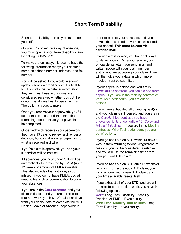# **Short Term Disability**

Short term disability can only be taken for yourself.

On your  $8<sup>th</sup>$  consecutive day of absence, you must open a short term disability claim by calling, 866-276-2278.

To make the call easy, it is best to have the following information ready: your doctor's name, telephone number, address, and fax number.

You will be asked if you would like your updates sent via email or text, it is best to NOT opt into this. Whatever information they send via these two options are considered received whether you got them or not. It is always best to use snail mail!! The option is yours to make.

Once you receive your paperwork, you fill out a small portion, and then take the remaining documents to your physician to be completed.

Once Sedgwick receives your paperwork, they have 15 days to review and render a decision, but can take longer depending on what is received and when.

If you're claim is approved, you and your supervisor will be notified.

All absences you incur under STD will be automatically be protected by FMLA (up to 12 weeks or amount of FMLA available). This also includes the first 7 days you missed. If you do not have FMLA, you will need to file a job accommodation to cover your absences.

If you are in the **Core contract**, and your claim is denied, and you are not able to return to work, you have 20 calendar days from your denial date to complete the "STD Denied Leave of Absence" paperwork in

order to protect your absences until you have either returned to work, or exhausted your appeal. **This must be sent via certified mail.** 

If your claim is denied, you have 180 days to file an appeal. Once you receive your official denial letter, you send in a hand written notice with your claim number, stating you are appealing your claim. They will then give you a date in which more medical must be submitted.

If your appeal is denied and you are in Core/Utilities contract, you can file one more appeal. If you are in the Mobility contract or Wire Tech addendum, you are out of options.

If you have exhausted all of your appeal(s), and your claim is still denied, and you are in the Core/Utilities contract, you have grievance rights under Article 19 (Core) and Article 14 (Utilities). If you are in the Mobility contract or Wire Tech addendum, you are out of options.

If you go back out on STD within 14 days-13 weeks from returning to work (regardless of reason), you will be considered a relapse, and you will use the remaining time from your previous STD claim.

If you go back out on STD after 13 weeks of returning from a previous STD claim, you will start over with a new STD claim, and your time available resets itself.

If you exhaust all of your STD, and are still not able to come back to work, you have the following options:

**Core**: Long Term Disability, Disability Pension, or PMR – if you qualify. **Wire Tech, Mobility, and Utilities**: Long Term Disability  $-$  if you qualify.